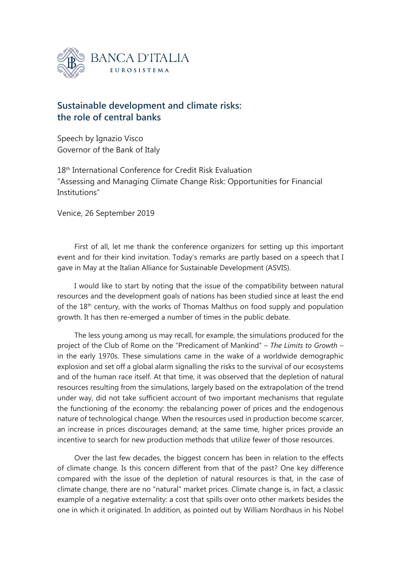

## **Sustainable development and climate risks: the role of central banks**

Speech by Ignazio Visco Governor of the Bank of Italy

18th International Conference for Credit Risk Evaluation "Assessing and Managing Climate Change Risk: Opportunities for Financial Institutions"

Venice, 26 September 2019

First of all, let me thank the conference organizers for setting up this important event and for their kind invitation. Today's remarks are partly based on a speech that I gave in May at the Italian Alliance for Sustainable Development (ASVIS).

I would like to start by noting that the issue of the compatibility between natural resources and the development goals of nations has been studied since at least the end of the 18<sup>th</sup> century, with the works of Thomas Malthus on food supply and population growth. It has then re-emerged a number of times in the public debate.

The less young among us may recall, for example, the simulations produced for the project of the Club of Rome on the "Predicament of Mankind" – *The Limits to Growth* – in the early 1970s. These simulations came in the wake of a worldwide demographic explosion and set off a global alarm signalling the risks to the survival of our ecosystems and of the human race itself. At that time, it was observed that the depletion of natural resources resulting from the simulations, largely based on the extrapolation of the trend under way, did not take sufficient account of two important mechanisms that regulate the functioning of the economy: the rebalancing power of prices and the endogenous nature of technological change. When the resources used in production become scarcer, an increase in prices discourages demand; at the same time, higher prices provide an incentive to search for new production methods that utilize fewer of those resources.

Over the last few decades, the biggest concern has been in relation to the effects of climate change. Is this concern different from that of the past? One key difference compared with the issue of the depletion of natural resources is that, in the case of climate change, there are no "natural" market prices. Climate change is, in fact, a classic example of a negative externality: a cost that spills over onto other markets besides the one in which it originated. In addition, as pointed out by William Nordhaus in his Nobel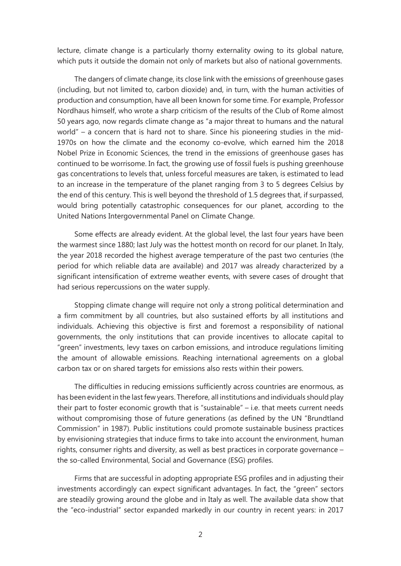lecture, climate change is a particularly thorny externality owing to its global nature, which puts it outside the domain not only of markets but also of national governments.

The dangers of climate change, its close link with the emissions of greenhouse gases (including, but not limited to, carbon dioxide) and, in turn, with the human activities of production and consumption, have all been known for some time. For example, Professor Nordhaus himself, who wrote a sharp criticism of the results of the Club of Rome almost 50 years ago, now regards climate change as "a major threat to humans and the natural world" – a concern that is hard not to share. Since his pioneering studies in the mid-1970s on how the climate and the economy co-evolve, which earned him the 2018 Nobel Prize in Economic Sciences, the trend in the emissions of greenhouse gases has continued to be worrisome. In fact, the growing use of fossil fuels is pushing greenhouse gas concentrations to levels that, unless forceful measures are taken, is estimated to lead to an increase in the temperature of the planet ranging from 3 to 5 degrees Celsius by the end of this century. This is well beyond the threshold of 1.5 degrees that, if surpassed, would bring potentially catastrophic consequences for our planet, according to the United Nations Intergovernmental Panel on Climate Change.

Some effects are already evident. At the global level, the last four years have been the warmest since 1880; last July was the hottest month on record for our planet. In Italy, the year 2018 recorded the highest average temperature of the past two centuries (the period for which reliable data are available) and 2017 was already characterized by a significant intensification of extreme weather events, with severe cases of drought that had serious repercussions on the water supply.

Stopping climate change will require not only a strong political determination and a firm commitment by all countries, but also sustained efforts by all institutions and individuals. Achieving this objective is first and foremost a responsibility of national governments, the only institutions that can provide incentives to allocate capital to "green" investments, levy taxes on carbon emissions, and introduce regulations limiting the amount of allowable emissions. Reaching international agreements on a global carbon tax or on shared targets for emissions also rests within their powers.

The difficulties in reducing emissions sufficiently across countries are enormous, as has been evident in the last few years. Therefore, all institutions and individuals should play their part to foster economic growth that is "sustainable" – i.e. that meets current needs without compromising those of future generations (as defined by the UN "Brundtland Commission" in 1987). Public institutions could promote sustainable business practices by envisioning strategies that induce firms to take into account the environment, human rights, consumer rights and diversity, as well as best practices in corporate governance – the so-called Environmental, Social and Governance (ESG) profiles.

Firms that are successful in adopting appropriate ESG profiles and in adjusting their investments accordingly can expect significant advantages. In fact, the "green" sectors are steadily growing around the globe and in Italy as well. The available data show that the "eco-industrial" sector expanded markedly in our country in recent years: in 2017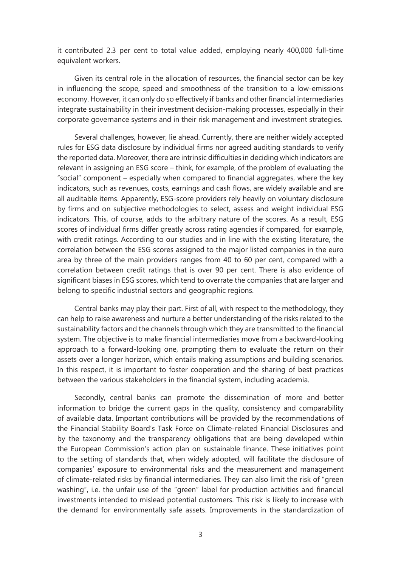it contributed 2.3 per cent to total value added, employing nearly 400,000 full-time equivalent workers.

Given its central role in the allocation of resources, the financial sector can be key in influencing the scope, speed and smoothness of the transition to a low-emissions economy. However, it can only do so effectively if banks and other financial intermediaries integrate sustainability in their investment decision-making processes, especially in their corporate governance systems and in their risk management and investment strategies.

Several challenges, however, lie ahead. Currently, there are neither widely accepted rules for ESG data disclosure by individual firms nor agreed auditing standards to verify the reported data. Moreover, there are intrinsic difficulties in deciding which indicators are relevant in assigning an ESG score – think, for example, of the problem of evaluating the "social" component – especially when compared to financial aggregates, where the key indicators, such as revenues, costs, earnings and cash flows, are widely available and are all auditable items. Apparently, ESG-score providers rely heavily on voluntary disclosure by firms and on subjective methodologies to select, assess and weight individual ESG indicators. This, of course, adds to the arbitrary nature of the scores. As a result, ESG scores of individual firms differ greatly across rating agencies if compared, for example, with credit ratings. According to our studies and in line with the existing literature, the correlation between the ESG scores assigned to the major listed companies in the euro area by three of the main providers ranges from 40 to 60 per cent, compared with a correlation between credit ratings that is over 90 per cent. There is also evidence of significant biases in ESG scores, which tend to overrate the companies that are larger and belong to specific industrial sectors and geographic regions.

Central banks may play their part. First of all, with respect to the methodology, they can help to raise awareness and nurture a better understanding of the risks related to the sustainability factors and the channels through which they are transmitted to the financial system. The objective is to make financial intermediaries move from a backward-looking approach to a forward-looking one, prompting them to evaluate the return on their assets over a longer horizon, which entails making assumptions and building scenarios. In this respect, it is important to foster cooperation and the sharing of best practices between the various stakeholders in the financial system, including academia.

Secondly, central banks can promote the dissemination of more and better information to bridge the current gaps in the quality, consistency and comparability of available data. Important contributions will be provided by the recommendations of the Financial Stability Board's Task Force on Climate-related Financial Disclosures and by the taxonomy and the transparency obligations that are being developed within the European Commission's action plan on sustainable finance. These initiatives point to the setting of standards that, when widely adopted, will facilitate the disclosure of companies' exposure to environmental risks and the measurement and management of climate-related risks by financial intermediaries. They can also limit the risk of "green washing", i.e. the unfair use of the "green" label for production activities and financial investments intended to mislead potential customers. This risk is likely to increase with the demand for environmentally safe assets. Improvements in the standardization of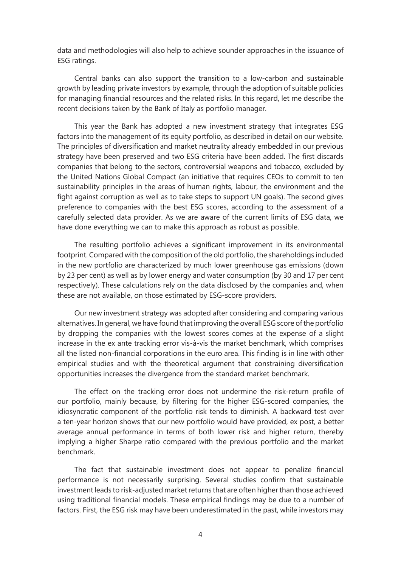data and methodologies will also help to achieve sounder approaches in the issuance of ESG ratings.

Central banks can also support the transition to a low-carbon and sustainable growth by leading private investors by example, through the adoption of suitable policies for managing financial resources and the related risks. In this regard, let me describe the recent decisions taken by the Bank of Italy as portfolio manager.

This year the Bank has adopted a new investment strategy that integrates ESG factors into the management of its equity portfolio, as described in detail on our website. The principles of diversification and market neutrality already embedded in our previous strategy have been preserved and two ESG criteria have been added. The first discards companies that belong to the sectors, controversial weapons and tobacco, excluded by the United Nations Global Compact (an initiative that requires CEOs to commit to ten sustainability principles in the areas of human rights, labour, the environment and the fight against corruption as well as to take steps to support UN goals). The second gives preference to companies with the best ESG scores, according to the assessment of a carefully selected data provider. As we are aware of the current limits of ESG data, we have done everything we can to make this approach as robust as possible.

The resulting portfolio achieves a significant improvement in its environmental footprint. Compared with the composition of the old portfolio, the shareholdings included in the new portfolio are characterized by much lower greenhouse gas emissions (down by 23 per cent) as well as by lower energy and water consumption (by 30 and 17 per cent respectively). These calculations rely on the data disclosed by the companies and, when these are not available, on those estimated by ESG-score providers.

Our new investment strategy was adopted after considering and comparing various alternatives. In general, we have found that improving the overall ESG score of the portfolio by dropping the companies with the lowest scores comes at the expense of a slight increase in the ex ante tracking error vis-à-vis the market benchmark, which comprises all the listed non-financial corporations in the euro area. This finding is in line with other empirical studies and with the theoretical argument that constraining diversification opportunities increases the divergence from the standard market benchmark.

The effect on the tracking error does not undermine the risk-return profile of our portfolio, mainly because, by filtering for the higher ESG-scored companies, the idiosyncratic component of the portfolio risk tends to diminish. A backward test over a ten-year horizon shows that our new portfolio would have provided, ex post, a better average annual performance in terms of both lower risk and higher return, thereby implying a higher Sharpe ratio compared with the previous portfolio and the market benchmark.

The fact that sustainable investment does not appear to penalize financial performance is not necessarily surprising. Several studies confirm that sustainable investment leads to risk-adjusted market returns that are often higher than those achieved using traditional financial models. These empirical findings may be due to a number of factors. First, the ESG risk may have been underestimated in the past, while investors may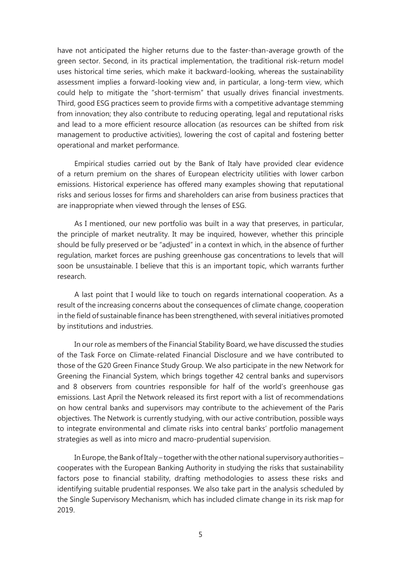have not anticipated the higher returns due to the faster-than-average growth of the green sector. Second, in its practical implementation, the traditional risk-return model uses historical time series, which make it backward-looking, whereas the sustainability assessment implies a forward-looking view and, in particular, a long-term view, which could help to mitigate the "short-termism" that usually drives financial investments. Third, good ESG practices seem to provide firms with a competitive advantage stemming from innovation; they also contribute to reducing operating, legal and reputational risks and lead to a more efficient resource allocation (as resources can be shifted from risk management to productive activities), lowering the cost of capital and fostering better operational and market performance.

Empirical studies carried out by the Bank of Italy have provided clear evidence of a return premium on the shares of European electricity utilities with lower carbon emissions. Historical experience has offered many examples showing that reputational risks and serious losses for firms and shareholders can arise from business practices that are inappropriate when viewed through the lenses of ESG.

As I mentioned, our new portfolio was built in a way that preserves, in particular, the principle of market neutrality. It may be inquired, however, whether this principle should be fully preserved or be "adjusted" in a context in which, in the absence of further regulation, market forces are pushing greenhouse gas concentrations to levels that will soon be unsustainable. I believe that this is an important topic, which warrants further research.

A last point that I would like to touch on regards international cooperation. As a result of the increasing concerns about the consequences of climate change, cooperation in the field of sustainable finance has been strengthened, with several initiatives promoted by institutions and industries.

In our role as members of the Financial Stability Board, we have discussed the studies of the Task Force on Climate-related Financial Disclosure and we have contributed to those of the G20 Green Finance Study Group. We also participate in the new Network for Greening the Financial System, which brings together 42 central banks and supervisors and 8 observers from countries responsible for half of the world's greenhouse gas emissions. Last April the Network released its first report with a list of recommendations on how central banks and supervisors may contribute to the achievement of the Paris objectives. The Network is currently studying, with our active contribution, possible ways to integrate environmental and climate risks into central banks' portfolio management strategies as well as into micro and macro-prudential supervision.

In Europe, the Bank of Italy – together with the other national supervisory authorities – cooperates with the European Banking Authority in studying the risks that sustainability factors pose to financial stability, drafting methodologies to assess these risks and identifying suitable prudential responses. We also take part in the analysis scheduled by the Single Supervisory Mechanism, which has included climate change in its risk map for 2019.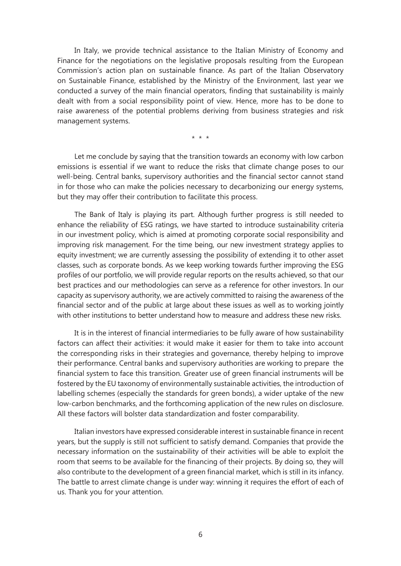In Italy, we provide technical assistance to the Italian Ministry of Economy and Finance for the negotiations on the legislative proposals resulting from the European Commission's action plan on sustainable finance. As part of the Italian Observatory on Sustainable Finance, established by the Ministry of the Environment, last year we conducted a survey of the main financial operators, finding that sustainability is mainly dealt with from a social responsibility point of view. Hence, more has to be done to raise awareness of the potential problems deriving from business strategies and risk management systems.

\* \* \*

Let me conclude by saying that the transition towards an economy with low carbon emissions is essential if we want to reduce the risks that climate change poses to our well-being. Central banks, supervisory authorities and the financial sector cannot stand in for those who can make the policies necessary to decarbonizing our energy systems, but they may offer their contribution to facilitate this process.

The Bank of Italy is playing its part. Although further progress is still needed to enhance the reliability of ESG ratings, we have started to introduce sustainability criteria in our investment policy, which is aimed at promoting corporate social responsibility and improving risk management. For the time being, our new investment strategy applies to equity investment; we are currently assessing the possibility of extending it to other asset classes, such as corporate bonds. As we keep working towards further improving the ESG profiles of our portfolio, we will provide regular reports on the results achieved, so that our best practices and our methodologies can serve as a reference for other investors. In our capacity as supervisory authority, we are actively committed to raising the awareness of the financial sector and of the public at large about these issues as well as to working jointly with other institutions to better understand how to measure and address these new risks.

It is in the interest of financial intermediaries to be fully aware of how sustainability factors can affect their activities: it would make it easier for them to take into account the corresponding risks in their strategies and governance, thereby helping to improve their performance. Central banks and supervisory authorities are working to prepare the financial system to face this transition. Greater use of green financial instruments will be fostered by the EU taxonomy of environmentally sustainable activities, the introduction of labelling schemes (especially the standards for green bonds), a wider uptake of the new low-carbon benchmarks, and the forthcoming application of the new rules on disclosure. All these factors will bolster data standardization and foster comparability.

Italian investors have expressed considerable interest in sustainable finance in recent years, but the supply is still not sufficient to satisfy demand. Companies that provide the necessary information on the sustainability of their activities will be able to exploit the room that seems to be available for the financing of their projects. By doing so, they will also contribute to the development of a green financial market, which is still in its infancy. The battle to arrest climate change is under way: winning it requires the effort of each of us. Thank you for your attention.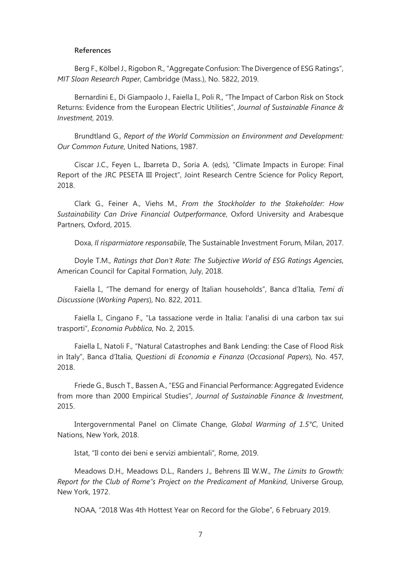## **References**

Berg F., Kölbel J., Rigobon R., "Aggregate Confusion: The Divergence of ESG Ratings", *MIT Sloan Research Paper*, Cambridge (Mass.), No. 5822, 2019.

Bernardini E., Di Giampaolo J., Faiella I., Poli R., "The Impact of Carbon Risk on Stock Returns: Evidence from the European Electric Utilities", *Journal of Sustainable Finance & Investment*, 2019.

Brundtland G., *Report of the World Commission on Environment and Development: Our Common Future*, United Nations, 1987.

Ciscar J.C., Feyen L., Ibarreta D., Soria A. (eds), "Climate Impacts in Europe: Final Report of the JRC PESETA III Project", Joint Research Centre Science for Policy Report, 2018.

Clark G., Feiner A., Viehs M., *From the Stockholder to the Stakeholder: How Sustainability Can Drive Financial Outperformance*, Oxford University and Arabesque Partners, Oxford, 2015.

Doxa, *Il risparmiatore responsabile*, The Sustainable Investment Forum, Milan, 2017.

Doyle T.M., *Ratings that Don't Rate: The Subjective World of ESG Ratings Agencies*, American Council for Capital Formation, July, 2018.

Faiella I., "The demand for energy of Italian households", Banca d'Italia, *Temi di Discussione* (*Working Papers*), No. 822, 2011.

Faiella I., Cingano F., "La tassazione verde in Italia: l'analisi di una carbon tax sui trasporti", *Economia Pubblica*, No. 2, 2015.

Faiella I., Natoli F., "Natural Catastrophes and Bank Lending: the Case of Flood Risk in Italy", Banca d'Italia, *Questioni di Economia e Finanza* (*Occasional Papers*), No. 457, 2018.

Friede G., Busch T., Bassen A., "ESG and Financial Performance: Aggregated Evidence from more than 2000 Empirical Studies", *Journal of Sustainable Finance & Investment*, 2015.

Intergovernmental Panel on Climate Change, *Global Warming of 1.5°C*, United Nations, New York, 2018.

Istat, "Il conto dei beni e servizi ambientali"*,* Rome, 2019.

Meadows D.H., Meadows D.L., Randers J., Behrens III W.W., *The Limits to Growth: Report for the Club of Rome"s Project on the Predicament of Mankind*, Universe Group, New York, 1972.

NOAA, "2018 Was 4th Hottest Year on Record for the Globe"*,* 6 February 2019.